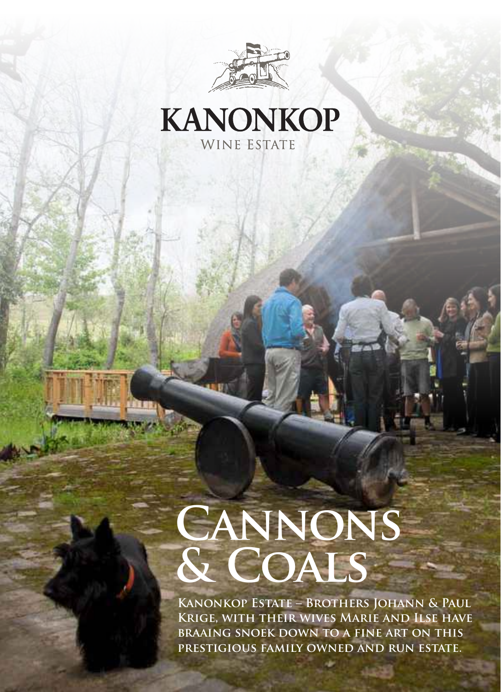



# **Cannons & Coals**

**Kanonkop Estate – Brothers Johann & Paul Krige, with their wives Marie and Ilse have braaing snoek down to a fine art on this prestigious family owned and run estate.**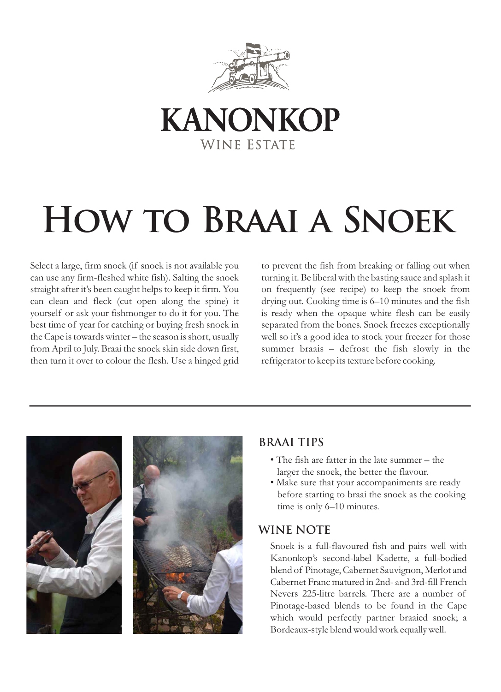



## **How to Braai a Snoek**

Select a large, firm snoek (if snoek is not available you can use any firm-fleshed white fish). Salting the snoek straight after it's been caught helps to keep it firm. You can clean and fleck (cut open along the spine) it yourself or ask your fishmonger to do it for you. The best time of year for catching or buying fresh snoek in the Cape is towards winter – the season is short, usually from April to July. Braai the snoek skin side down first, then turn it over to colour the flesh. Use a hinged grid

to prevent the fish from breaking or falling out when turning it. Be liberal with the basting sauce and splash it on frequently (see recipe) to keep the snoek from drying out. Cooking time is 6–10 minutes and the fish is ready when the opaque white flesh can be easily separated from the bones. Snoek freezes exceptionally well so it's a good idea to stock your freezer for those summer braais – defrost the fish slowly in the refrigerator to keep its texture before cooking.



## **BRAAI TIPS**

- The fish are fatter in the late summer the larger the snoek, the better the flavour.
- Make sure that your accompaniments are ready before starting to braai the snoek as the cooking time is only 6–10 minutes.

## **WINE NOTE**

Snoek is a full-flavoured fish and pairs well with Kanonkop's second-label Kadette, a full-bodied blend of Pinotage, Cabernet Sauvignon, Merlot and Cabernet Franc matured in 2nd- and 3rd-fill French Nevers 225-litre barrels. There are a number of Pinotage-based blends to be found in the Cape which would perfectly partner braaied snoek; a Bordeaux-style blend would work equally well.